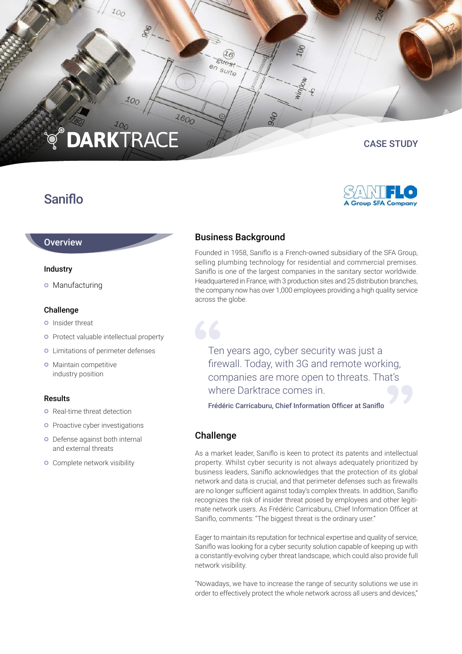# **DARKTRACE**  $\mathbb{Q}_\bullet$

 $\overline{z_{O_O}}$ 

**SOC** 

## Saniflo

## CASE STUDY



## **Overview**

#### Industry

o Manufacturing

#### Challenge

- **o** Insider threat
- **o** Protect valuable intellectual property
- Limitations of perimeter defenses
- **o** Maintain competitive industry position

#### Results

- **o** Real-time threat detection
- **o** Proactive cyber investigations
- Defense against both internal and external threats
- **o** Complete network visibility

## Business Background

 $\overline{16}$ **Strest** en suite

Founded in 1958, Saniflo is a French-owned subsidiary of the SFA Group, selling plumbing technology for residential and commercial premises. Saniflo is one of the largest companies in the sanitary sector worldwide. Headquartered in France, with 3 production sites and 25 distribution branches, the company now has over 1,000 employees providing a high quality service across the globe.

Ten years ago, cyber security was just a firewall. Today, with 3G and remote working, companies are more open to threats. That's where Darktrace comes in.

Frédéric Carricaburu, Chief Information Officer at Saniflo

#### Challenge

As a market leader, Saniflo is keen to protect its patents and intellectual property. Whilst cyber security is not always adequately prioritized by business leaders, Saniflo acknowledges that the protection of its global network and data is crucial, and that perimeter defenses such as firewalls are no longer sufficient against today's complex threats. In addition, Saniflo recognizes the risk of insider threat posed by employees and other legitimate network users. As Frédéric Carricaburu, Chief Information Officer at Saniflo, comments: "The biggest threat is the ordinary user."

Eager to maintain its reputation for technical expertise and quality of service, Saniflo was looking for a cyber security solution capable of keeping up with a constantly-evolving cyber threat landscape, which could also provide full network visibility.

"Nowadays, we have to increase the range of security solutions we use in order to effectively protect the whole network across all users and devices,"